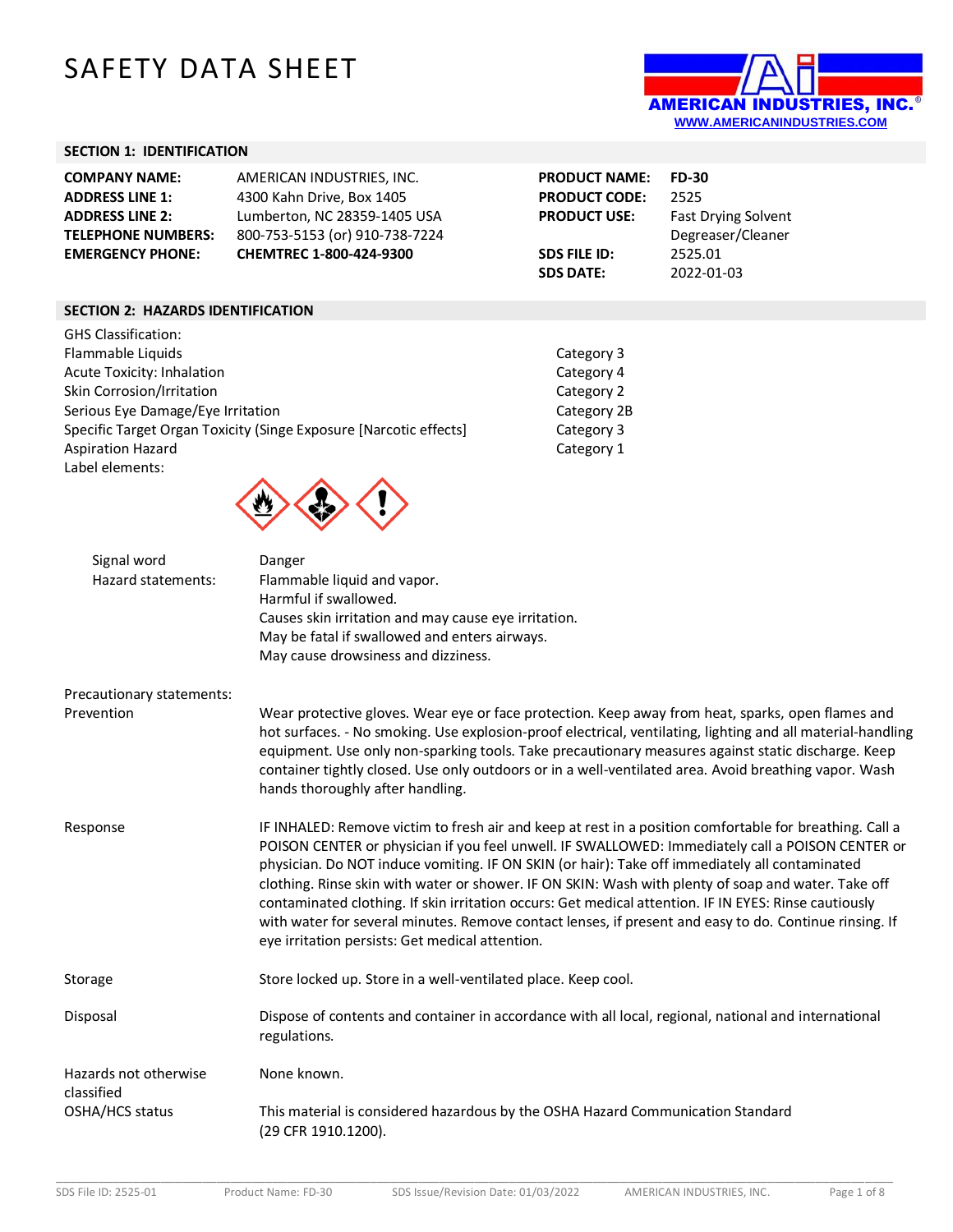# SAFETY DATA SHEET



#### **SECTION 1: IDENTIFICATION**

| <b>COMPANY NAME:</b>      | AMERICAN INDUSTRIES, INC.      | <b>PRODUCT NAME:</b> | <b>FD-30</b>               |
|---------------------------|--------------------------------|----------------------|----------------------------|
| <b>ADDRESS LINE 1:</b>    | 4300 Kahn Drive, Box 1405      | <b>PRODUCT CODE:</b> | 2525                       |
| <b>ADDRESS LINE 2:</b>    | Lumberton, NC 28359-1405 USA   | <b>PRODUCT USE:</b>  | <b>Fast Drying Solvent</b> |
| <b>TELEPHONE NUMBERS:</b> | 800-753-5153 (or) 910-738-7224 |                      | Degreaser/Cleaner          |
| <b>EMERGENCY PHONE:</b>   | <b>CHEMTREC 1-800-424-9300</b> | <b>SDS FILE ID:</b>  | 2525.01                    |
|                           |                                | <b>SDS DATE:</b>     | 2022-01-03                 |

#### **SECTION 2: HAZARDS IDENTIFICATION**

| <b>GHS Classification:</b>                                        |             |
|-------------------------------------------------------------------|-------------|
| Flammable Liquids                                                 | Category 3  |
| <b>Acute Toxicity: Inhalation</b>                                 | Category 4  |
| Skin Corrosion/Irritation                                         | Category 2  |
| Serious Eye Damage/Eye Irritation                                 | Category 2B |
| Specific Target Organ Toxicity (Singe Exposure [Narcotic effects] | Category 3  |
| <b>Aspiration Hazard</b>                                          | Category 1  |
| Label elements:                                                   |             |



| Signal word<br>Hazard statements:   | Danger<br>Flammable liquid and vapor.<br>Harmful if swallowed.<br>Causes skin irritation and may cause eye irritation.<br>May be fatal if swallowed and enters airways.<br>May cause drowsiness and dizziness.                                                                                                                                                                                                                                                                                                                                                                                                                                                                             |
|-------------------------------------|--------------------------------------------------------------------------------------------------------------------------------------------------------------------------------------------------------------------------------------------------------------------------------------------------------------------------------------------------------------------------------------------------------------------------------------------------------------------------------------------------------------------------------------------------------------------------------------------------------------------------------------------------------------------------------------------|
| Precautionary statements:           |                                                                                                                                                                                                                                                                                                                                                                                                                                                                                                                                                                                                                                                                                            |
| Prevention                          | Wear protective gloves. Wear eye or face protection. Keep away from heat, sparks, open flames and<br>hot surfaces. - No smoking. Use explosion-proof electrical, ventilating, lighting and all material-handling<br>equipment. Use only non-sparking tools. Take precautionary measures against static discharge. Keep<br>container tightly closed. Use only outdoors or in a well-ventilated area. Avoid breathing vapor. Wash<br>hands thoroughly after handling.                                                                                                                                                                                                                        |
| Response                            | IF INHALED: Remove victim to fresh air and keep at rest in a position comfortable for breathing. Call a<br>POISON CENTER or physician if you feel unwell. IF SWALLOWED: Immediately call a POISON CENTER or<br>physician. Do NOT induce vomiting. IF ON SKIN (or hair): Take off immediately all contaminated<br>clothing. Rinse skin with water or shower. IF ON SKIN: Wash with plenty of soap and water. Take off<br>contaminated clothing. If skin irritation occurs: Get medical attention. IF IN EYES: Rinse cautiously<br>with water for several minutes. Remove contact lenses, if present and easy to do. Continue rinsing. If<br>eye irritation persists: Get medical attention. |
| Storage                             | Store locked up. Store in a well-ventilated place. Keep cool.                                                                                                                                                                                                                                                                                                                                                                                                                                                                                                                                                                                                                              |
| Disposal                            | Dispose of contents and container in accordance with all local, regional, national and international<br>regulations.                                                                                                                                                                                                                                                                                                                                                                                                                                                                                                                                                                       |
| Hazards not otherwise<br>classified | None known.                                                                                                                                                                                                                                                                                                                                                                                                                                                                                                                                                                                                                                                                                |
| OSHA/HCS status                     | This material is considered hazardous by the OSHA Hazard Communication Standard<br>(29 CFR 1910.1200).                                                                                                                                                                                                                                                                                                                                                                                                                                                                                                                                                                                     |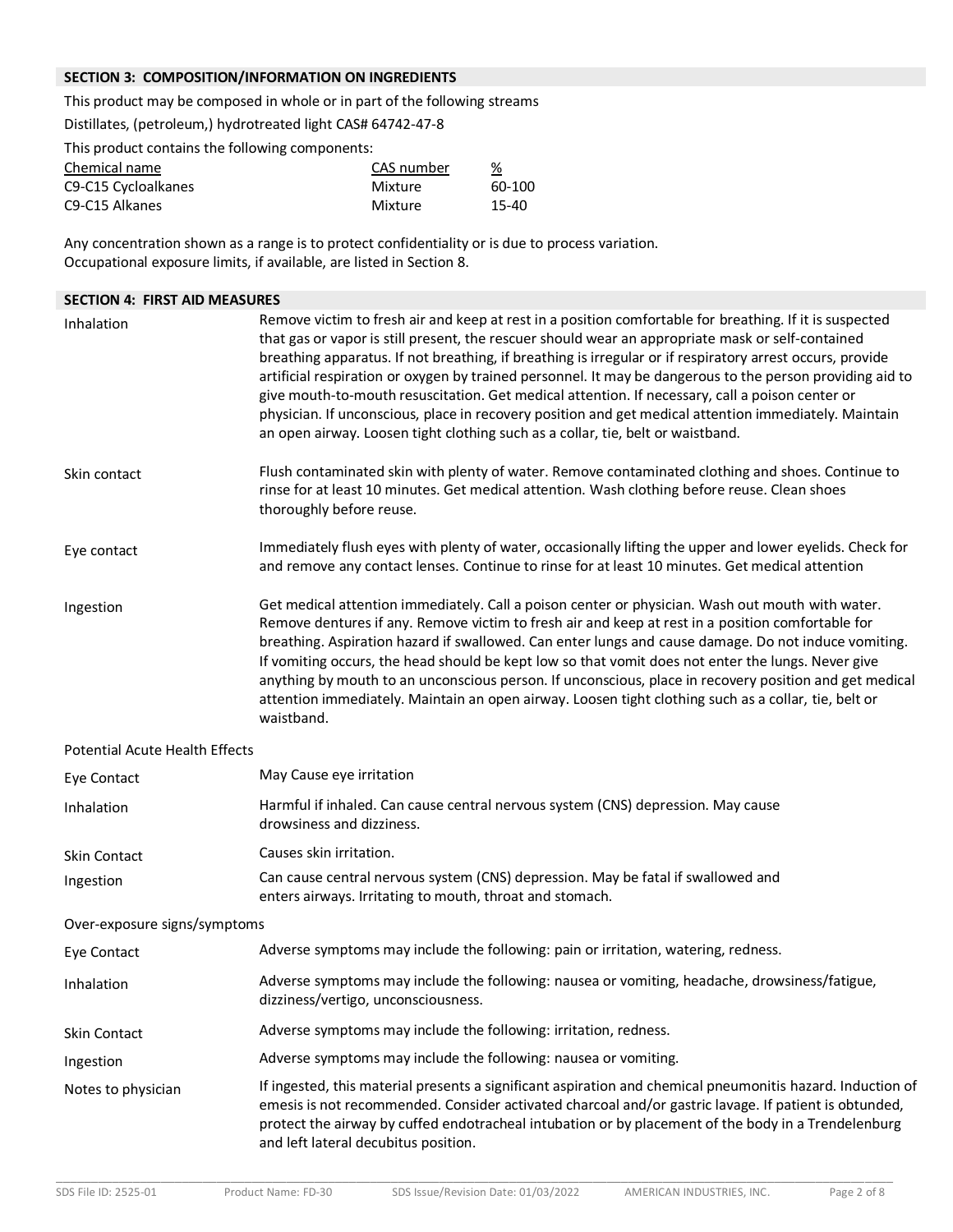## **SECTION 3: COMPOSITION/INFORMATION ON INGREDIENTS**

This product may be composed in whole or in part of the following streams

Distillates, (petroleum,) hydrotreated light CAS# 64742-47-8

This product contains the following components:

| Chemical name                           | CAS number | %      |
|-----------------------------------------|------------|--------|
| C9-C15 Cycloalkanes                     | Mixture    | 60-100 |
| C <sub>9</sub> -C <sub>15</sub> Alkanes | Mixture    | 15-40  |

Any concentration shown as a range is to protect confidentiality or is due to process variation. Occupational exposure limits, if available, are listed in Section 8.

| <b>SECTION 4: FIRST AID MEASURES</b>  |                                                                                                                                                                                                                                                                                                                                                                                                                                                                                                                                                                                                                                                                                                                                       |  |
|---------------------------------------|---------------------------------------------------------------------------------------------------------------------------------------------------------------------------------------------------------------------------------------------------------------------------------------------------------------------------------------------------------------------------------------------------------------------------------------------------------------------------------------------------------------------------------------------------------------------------------------------------------------------------------------------------------------------------------------------------------------------------------------|--|
| Inhalation                            | Remove victim to fresh air and keep at rest in a position comfortable for breathing. If it is suspected<br>that gas or vapor is still present, the rescuer should wear an appropriate mask or self-contained<br>breathing apparatus. If not breathing, if breathing is irregular or if respiratory arrest occurs, provide<br>artificial respiration or oxygen by trained personnel. It may be dangerous to the person providing aid to<br>give mouth-to-mouth resuscitation. Get medical attention. If necessary, call a poison center or<br>physician. If unconscious, place in recovery position and get medical attention immediately. Maintain<br>an open airway. Loosen tight clothing such as a collar, tie, belt or waistband. |  |
| Skin contact                          | Flush contaminated skin with plenty of water. Remove contaminated clothing and shoes. Continue to<br>rinse for at least 10 minutes. Get medical attention. Wash clothing before reuse. Clean shoes<br>thoroughly before reuse.                                                                                                                                                                                                                                                                                                                                                                                                                                                                                                        |  |
| Eye contact                           | Immediately flush eyes with plenty of water, occasionally lifting the upper and lower eyelids. Check for<br>and remove any contact lenses. Continue to rinse for at least 10 minutes. Get medical attention                                                                                                                                                                                                                                                                                                                                                                                                                                                                                                                           |  |
| Ingestion                             | Get medical attention immediately. Call a poison center or physician. Wash out mouth with water.<br>Remove dentures if any. Remove victim to fresh air and keep at rest in a position comfortable for<br>breathing. Aspiration hazard if swallowed. Can enter lungs and cause damage. Do not induce vomiting.<br>If vomiting occurs, the head should be kept low so that vomit does not enter the lungs. Never give<br>anything by mouth to an unconscious person. If unconscious, place in recovery position and get medical<br>attention immediately. Maintain an open airway. Loosen tight clothing such as a collar, tie, belt or<br>waistband.                                                                                   |  |
| <b>Potential Acute Health Effects</b> |                                                                                                                                                                                                                                                                                                                                                                                                                                                                                                                                                                                                                                                                                                                                       |  |
| Eye Contact                           | May Cause eye irritation                                                                                                                                                                                                                                                                                                                                                                                                                                                                                                                                                                                                                                                                                                              |  |
| Inhalation                            | Harmful if inhaled. Can cause central nervous system (CNS) depression. May cause<br>drowsiness and dizziness.                                                                                                                                                                                                                                                                                                                                                                                                                                                                                                                                                                                                                         |  |
| Skin Contact                          | Causes skin irritation.                                                                                                                                                                                                                                                                                                                                                                                                                                                                                                                                                                                                                                                                                                               |  |
| Ingestion                             | Can cause central nervous system (CNS) depression. May be fatal if swallowed and<br>enters airways. Irritating to mouth, throat and stomach.                                                                                                                                                                                                                                                                                                                                                                                                                                                                                                                                                                                          |  |
| Over-exposure signs/symptoms          |                                                                                                                                                                                                                                                                                                                                                                                                                                                                                                                                                                                                                                                                                                                                       |  |
| Eye Contact                           | Adverse symptoms may include the following: pain or irritation, watering, redness.                                                                                                                                                                                                                                                                                                                                                                                                                                                                                                                                                                                                                                                    |  |
| Inhalation                            | Adverse symptoms may include the following: nausea or vomiting, headache, drowsiness/fatigue,<br>dizziness/vertigo, unconsciousness.                                                                                                                                                                                                                                                                                                                                                                                                                                                                                                                                                                                                  |  |
| Skin Contact                          | Adverse symptoms may include the following: irritation, redness.                                                                                                                                                                                                                                                                                                                                                                                                                                                                                                                                                                                                                                                                      |  |
| Ingestion                             | Adverse symptoms may include the following: nausea or vomiting.                                                                                                                                                                                                                                                                                                                                                                                                                                                                                                                                                                                                                                                                       |  |
| Notes to physician                    | If ingested, this material presents a significant aspiration and chemical pneumonitis hazard. Induction of<br>emesis is not recommended. Consider activated charcoal and/or gastric lavage. If patient is obtunded,<br>protect the airway by cuffed endotracheal intubation or by placement of the body in a Trendelenburg<br>and left lateral decubitus position.                                                                                                                                                                                                                                                                                                                                                                    |  |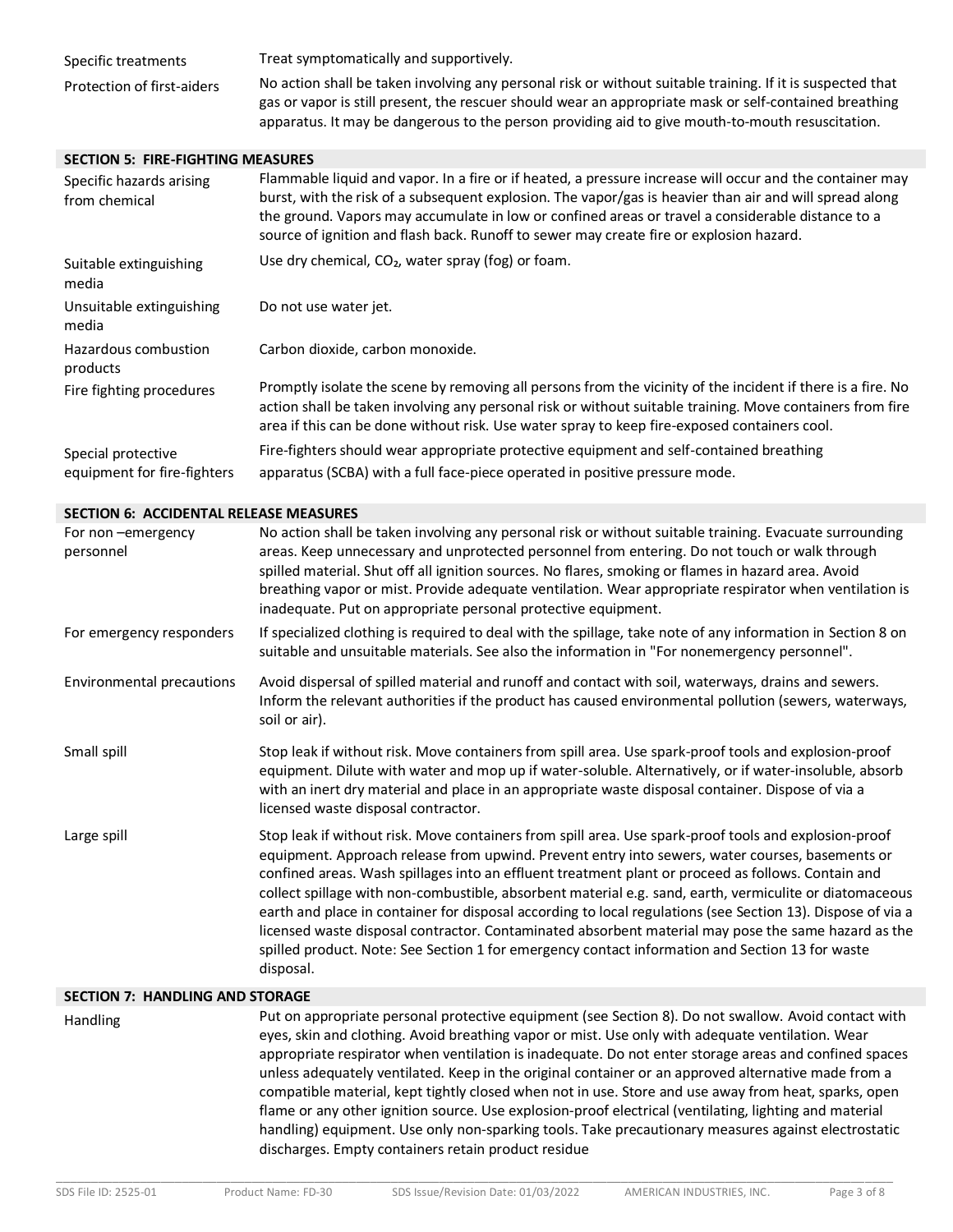| Specific treatments        | Treat symptomatically and supportively.                                                                                                                                                                              |
|----------------------------|----------------------------------------------------------------------------------------------------------------------------------------------------------------------------------------------------------------------|
| Protection of first-aiders | No action shall be taken involving any personal risk or without suitable training. If it is suspected that<br>gas or vapor is still present, the rescuer should wear an appropriate mask or self-contained breathing |
|                            | apparatus. It may be dangerous to the person providing aid to give mouth-to-mouth resuscitation.                                                                                                                     |

#### **SECTION 5: FIRE-FIGHTING MEASURES**

| Specific hazards arising<br>from chemical         | Flammable liquid and vapor. In a fire or if heated, a pressure increase will occur and the container may<br>burst, with the risk of a subsequent explosion. The vapor/gas is heavier than air and will spread along<br>the ground. Vapors may accumulate in low or confined areas or travel a considerable distance to a<br>source of ignition and flash back. Runoff to sewer may create fire or explosion hazard. |
|---------------------------------------------------|---------------------------------------------------------------------------------------------------------------------------------------------------------------------------------------------------------------------------------------------------------------------------------------------------------------------------------------------------------------------------------------------------------------------|
| Suitable extinguishing<br>media                   | Use dry chemical, $CO2$ , water spray (fog) or foam.                                                                                                                                                                                                                                                                                                                                                                |
| Unsuitable extinguishing<br>media                 | Do not use water jet.                                                                                                                                                                                                                                                                                                                                                                                               |
| Hazardous combustion<br>products                  | Carbon dioxide, carbon monoxide.                                                                                                                                                                                                                                                                                                                                                                                    |
| Fire fighting procedures                          | Promptly isolate the scene by removing all persons from the vicinity of the incident if there is a fire. No<br>action shall be taken involving any personal risk or without suitable training. Move containers from fire<br>area if this can be done without risk. Use water spray to keep fire-exposed containers cool.                                                                                            |
| Special protective<br>equipment for fire-fighters | Fire-fighters should wear appropriate protective equipment and self-contained breathing<br>apparatus (SCBA) with a full face-piece operated in positive pressure mode.                                                                                                                                                                                                                                              |

#### **SECTION 6: ACCIDENTAL RELEASE MEASURES**

| For non-emergency<br>personnel         | No action shall be taken involving any personal risk or without suitable training. Evacuate surrounding<br>areas. Keep unnecessary and unprotected personnel from entering. Do not touch or walk through<br>spilled material. Shut off all ignition sources. No flares, smoking or flames in hazard area. Avoid<br>breathing vapor or mist. Provide adequate ventilation. Wear appropriate respirator when ventilation is<br>inadequate. Put on appropriate personal protective equipment.                                                                                                                                                                                                                                                                      |  |
|----------------------------------------|-----------------------------------------------------------------------------------------------------------------------------------------------------------------------------------------------------------------------------------------------------------------------------------------------------------------------------------------------------------------------------------------------------------------------------------------------------------------------------------------------------------------------------------------------------------------------------------------------------------------------------------------------------------------------------------------------------------------------------------------------------------------|--|
| For emergency responders               | If specialized clothing is required to deal with the spillage, take note of any information in Section 8 on<br>suitable and unsuitable materials. See also the information in "For nonemergency personnel".                                                                                                                                                                                                                                                                                                                                                                                                                                                                                                                                                     |  |
| <b>Environmental precautions</b>       | Avoid dispersal of spilled material and runoff and contact with soil, waterways, drains and sewers.<br>Inform the relevant authorities if the product has caused environmental pollution (sewers, waterways,<br>soil or air).                                                                                                                                                                                                                                                                                                                                                                                                                                                                                                                                   |  |
| Small spill                            | Stop leak if without risk. Move containers from spill area. Use spark-proof tools and explosion-proof<br>equipment. Dilute with water and mop up if water-soluble. Alternatively, or if water-insoluble, absorb<br>with an inert dry material and place in an appropriate waste disposal container. Dispose of via a<br>licensed waste disposal contractor.                                                                                                                                                                                                                                                                                                                                                                                                     |  |
| Large spill                            | Stop leak if without risk. Move containers from spill area. Use spark-proof tools and explosion-proof<br>equipment. Approach release from upwind. Prevent entry into sewers, water courses, basements or<br>confined areas. Wash spillages into an effluent treatment plant or proceed as follows. Contain and<br>collect spillage with non-combustible, absorbent material e.g. sand, earth, vermiculite or diatomaceous<br>earth and place in container for disposal according to local regulations (see Section 13). Dispose of via a<br>licensed waste disposal contractor. Contaminated absorbent material may pose the same hazard as the<br>spilled product. Note: See Section 1 for emergency contact information and Section 13 for waste<br>disposal. |  |
| <b>SECTION 7: HANDLING AND STORAGE</b> |                                                                                                                                                                                                                                                                                                                                                                                                                                                                                                                                                                                                                                                                                                                                                                 |  |

Handling Put on appropriate personal protective equipment (see Section 8). Do not swallow. Avoid contact with eyes, skin and clothing. Avoid breathing vapor or mist. Use only with adequate ventilation. Wear appropriate respirator when ventilation is inadequate. Do not enter storage areas and confined spaces unless adequately ventilated. Keep in the original container or an approved alternative made from a compatible material, kept tightly closed when not in use. Store and use away from heat, sparks, open flame or any other ignition source. Use explosion-proof electrical (ventilating, lighting and material handling) equipment. Use only non-sparking tools. Take precautionary measures against electrostatic discharges. Empty containers retain product residue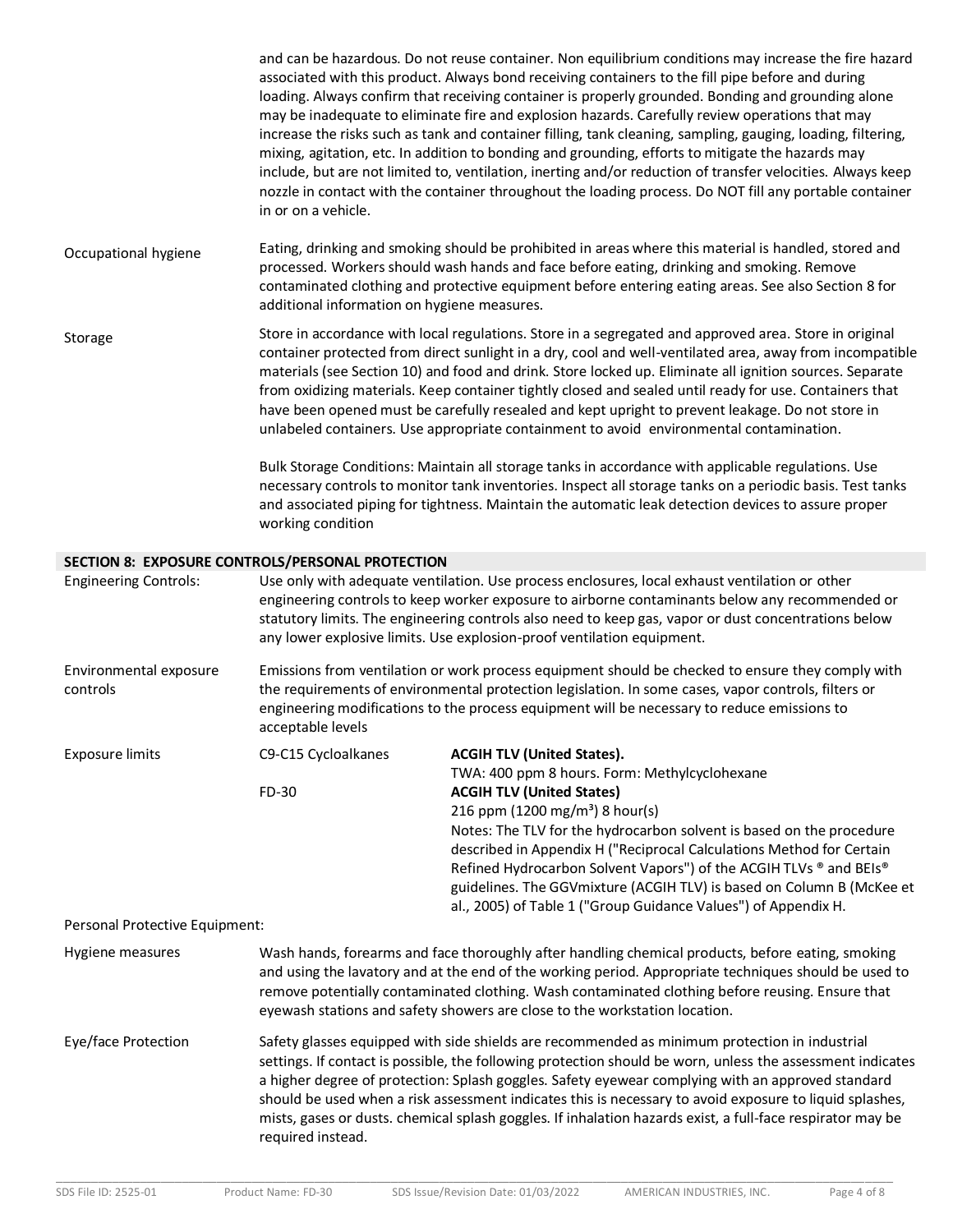and can be hazardous. Do not reuse container. Non equilibrium conditions may increase the fire hazard associated with this product. Always bond receiving containers to the fill pipe before and during loading. Always confirm that receiving container is properly grounded. Bonding and grounding alone may be inadequate to eliminate fire and explosion hazards. Carefully review operations that may increase the risks such as tank and container filling, tank cleaning, sampling, gauging, loading, filtering, mixing, agitation, etc. In addition to bonding and grounding, efforts to mitigate the hazards may include, but are not limited to, ventilation, inerting and/or reduction of transfer velocities. Always keep nozzle in contact with the container throughout the loading process. Do NOT fill any portable container in or on a vehicle.

Occupational hygiene Eating, drinking and smoking should be prohibited in areas where this material is handled, stored and processed. Workers should wash hands and face before eating, drinking and smoking. Remove contaminated clothing and protective equipment before entering eating areas. See also Section 8 for additional information on hygiene measures.

Storage Store in accordance with local regulations. Store in a segregated and approved area. Store in original container protected from direct sunlight in a dry, cool and well-ventilated area, away from incompatible materials (see Section 10) and food and drink. Store locked up. Eliminate all ignition sources. Separate from oxidizing materials. Keep container tightly closed and sealed until ready for use. Containers that have been opened must be carefully resealed and kept upright to prevent leakage. Do not store in unlabeled containers. Use appropriate containment to avoid environmental contamination.

> Bulk Storage Conditions: Maintain all storage tanks in accordance with applicable regulations. Use necessary controls to monitor tank inventories. Inspect all storage tanks on a periodic basis. Test tanks and associated piping for tightness. Maintain the automatic leak detection devices to assure proper working condition

#### **SECTION 8: EXPOSURE CONTROLS/PERSONAL PROTECTION**

| <b>Engineering Controls:</b>       | Use only with adequate ventilation. Use process enclosures, local exhaust ventilation or other<br>engineering controls to keep worker exposure to airborne contaminants below any recommended or<br>statutory limits. The engineering controls also need to keep gas, vapor or dust concentrations below<br>any lower explosive limits. Use explosion-proof ventilation equipment.                                                                                                                                                                             |                                                                                                                                                                                                                                                                                                                                                                                                              |
|------------------------------------|----------------------------------------------------------------------------------------------------------------------------------------------------------------------------------------------------------------------------------------------------------------------------------------------------------------------------------------------------------------------------------------------------------------------------------------------------------------------------------------------------------------------------------------------------------------|--------------------------------------------------------------------------------------------------------------------------------------------------------------------------------------------------------------------------------------------------------------------------------------------------------------------------------------------------------------------------------------------------------------|
| Environmental exposure<br>controls | Emissions from ventilation or work process equipment should be checked to ensure they comply with<br>the requirements of environmental protection legislation. In some cases, vapor controls, filters or<br>engineering modifications to the process equipment will be necessary to reduce emissions to<br>acceptable levels                                                                                                                                                                                                                                   |                                                                                                                                                                                                                                                                                                                                                                                                              |
| <b>Exposure limits</b>             | C9-C15 Cycloalkanes<br>FD-30                                                                                                                                                                                                                                                                                                                                                                                                                                                                                                                                   | <b>ACGIH TLV (United States).</b><br>TWA: 400 ppm 8 hours. Form: Methylcyclohexane<br><b>ACGIH TLV (United States)</b>                                                                                                                                                                                                                                                                                       |
|                                    |                                                                                                                                                                                                                                                                                                                                                                                                                                                                                                                                                                | 216 ppm (1200 mg/m <sup>3</sup> ) 8 hour(s)<br>Notes: The TLV for the hydrocarbon solvent is based on the procedure<br>described in Appendix H ("Reciprocal Calculations Method for Certain<br>Refined Hydrocarbon Solvent Vapors") of the ACGIH TLVs ® and BEIs®<br>guidelines. The GGVmixture (ACGIH TLV) is based on Column B (McKee et<br>al., 2005) of Table 1 ("Group Guidance Values") of Appendix H. |
| Personal Protective Equipment:     |                                                                                                                                                                                                                                                                                                                                                                                                                                                                                                                                                                |                                                                                                                                                                                                                                                                                                                                                                                                              |
| Hygiene measures                   | Wash hands, forearms and face thoroughly after handling chemical products, before eating, smoking<br>and using the lavatory and at the end of the working period. Appropriate techniques should be used to<br>remove potentially contaminated clothing. Wash contaminated clothing before reusing. Ensure that<br>eyewash stations and safety showers are close to the workstation location.                                                                                                                                                                   |                                                                                                                                                                                                                                                                                                                                                                                                              |
| Eye/face Protection                | Safety glasses equipped with side shields are recommended as minimum protection in industrial<br>settings. If contact is possible, the following protection should be worn, unless the assessment indicates<br>a higher degree of protection: Splash goggles. Safety eyewear complying with an approved standard<br>should be used when a risk assessment indicates this is necessary to avoid exposure to liquid splashes,<br>mists, gases or dusts. chemical splash goggles. If inhalation hazards exist, a full-face respirator may be<br>required instead. |                                                                                                                                                                                                                                                                                                                                                                                                              |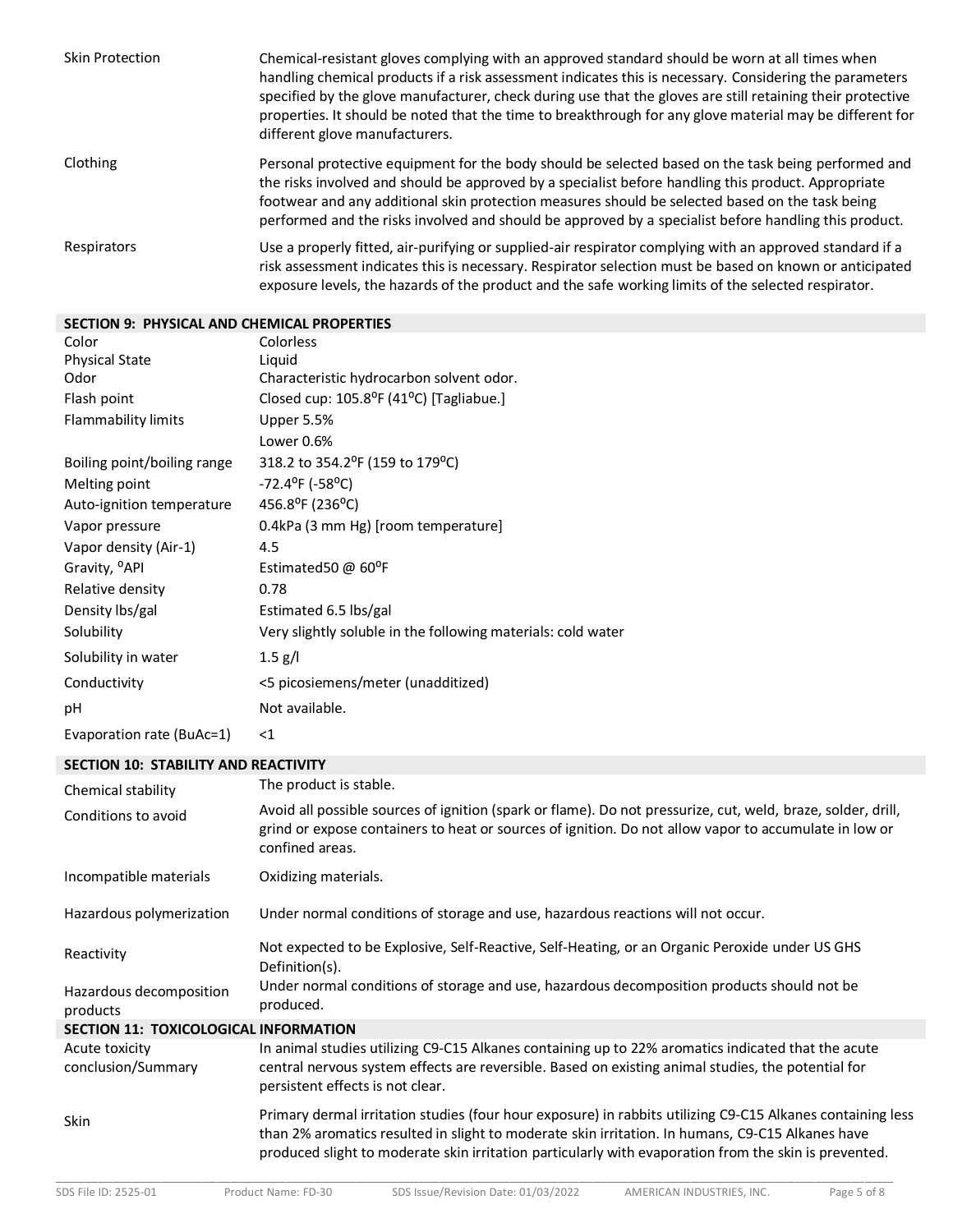| <b>Skin Protection</b> | Chemical-resistant gloves complying with an approved standard should be worn at all times when<br>handling chemical products if a risk assessment indicates this is necessary. Considering the parameters<br>specified by the glove manufacturer, check during use that the gloves are still retaining their protective<br>properties. It should be noted that the time to breakthrough for any glove material may be different for<br>different glove manufacturers. |
|------------------------|-----------------------------------------------------------------------------------------------------------------------------------------------------------------------------------------------------------------------------------------------------------------------------------------------------------------------------------------------------------------------------------------------------------------------------------------------------------------------|
| Clothing               | Personal protective equipment for the body should be selected based on the task being performed and<br>the risks involved and should be approved by a specialist before handling this product. Appropriate<br>footwear and any additional skin protection measures should be selected based on the task being<br>performed and the risks involved and should be approved by a specialist before handling this product.                                                |
| Respirators            | Use a properly fitted, air-purifying or supplied-air respirator complying with an approved standard if a<br>risk assessment indicates this is necessary. Respirator selection must be based on known or anticipated<br>exposure levels, the hazards of the product and the safe working limits of the selected respirator.                                                                                                                                            |

## **SECTION 9: PHYSICAL AND CHEMICAL PROPERTIES**

| Color                       | Colorless                                                    |
|-----------------------------|--------------------------------------------------------------|
| <b>Physical State</b>       | Liguid                                                       |
| Odor                        | Characteristic hydrocarbon solvent odor.                     |
| Flash point                 | Closed cup: 105.8°F (41°C) [Tagliabue.]                      |
| Flammability limits         | Upper 5.5%                                                   |
|                             | Lower 0.6%                                                   |
| Boiling point/boiling range | 318.2 to 354.2°F (159 to 179°C)                              |
| Melting point               | $-72.4$ <sup>o</sup> F ( $-58$ <sup>o</sup> C)               |
| Auto-ignition temperature   | 456.8 <sup>o</sup> F (236 <sup>o</sup> C)                    |
| Vapor pressure              | 0.4kPa (3 mm Hg) [room temperature]                          |
| Vapor density (Air-1)       | 4.5                                                          |
| Gravity, <sup>o</sup> API   | Estimated 50 $@$ 60 <sup>o</sup> F                           |
| Relative density            | 0.78                                                         |
| Density lbs/gal             | Estimated 6.5 lbs/gal                                        |
| Solubility                  | Very slightly soluble in the following materials: cold water |
| Solubility in water         | $1.5$ g/l                                                    |
| Conductivity                | <5 picosiemens/meter (unadditized)                           |
| рH                          | Not available.                                               |
| Evaporation rate (BuAc=1)   | ${<}1$                                                       |

# **SECTION 10: STABILITY AND REACTIVITY**

| Chemical stability                           | The product is stable.                                                                                                                                                                                                                                                                                                  |  |  |
|----------------------------------------------|-------------------------------------------------------------------------------------------------------------------------------------------------------------------------------------------------------------------------------------------------------------------------------------------------------------------------|--|--|
| Conditions to avoid                          | Avoid all possible sources of ignition (spark or flame). Do not pressurize, cut, weld, braze, solder, drill,<br>grind or expose containers to heat or sources of ignition. Do not allow vapor to accumulate in low or<br>confined areas.                                                                                |  |  |
| Incompatible materials                       | Oxidizing materials.                                                                                                                                                                                                                                                                                                    |  |  |
| Hazardous polymerization                     | Under normal conditions of storage and use, hazardous reactions will not occur.                                                                                                                                                                                                                                         |  |  |
| Reactivity                                   | Not expected to be Explosive, Self-Reactive, Self-Heating, or an Organic Peroxide under US GHS<br>Definition(s).                                                                                                                                                                                                        |  |  |
| Hazardous decomposition<br>products          | Under normal conditions of storage and use, hazardous decomposition products should not be<br>produced.                                                                                                                                                                                                                 |  |  |
| <b>SECTION 11: TOXICOLOGICAL INFORMATION</b> |                                                                                                                                                                                                                                                                                                                         |  |  |
| Acute toxicity<br>conclusion/Summary         | In animal studies utilizing C9-C15 Alkanes containing up to 22% aromatics indicated that the acute<br>central nervous system effects are reversible. Based on existing animal studies, the potential for<br>persistent effects is not clear.                                                                            |  |  |
| Skin                                         | Primary dermal irritation studies (four hour exposure) in rabbits utilizing C9-C15 Alkanes containing less<br>than 2% aromatics resulted in slight to moderate skin irritation. In humans, C9-C15 Alkanes have<br>produced slight to moderate skin irritation particularly with evaporation from the skin is prevented. |  |  |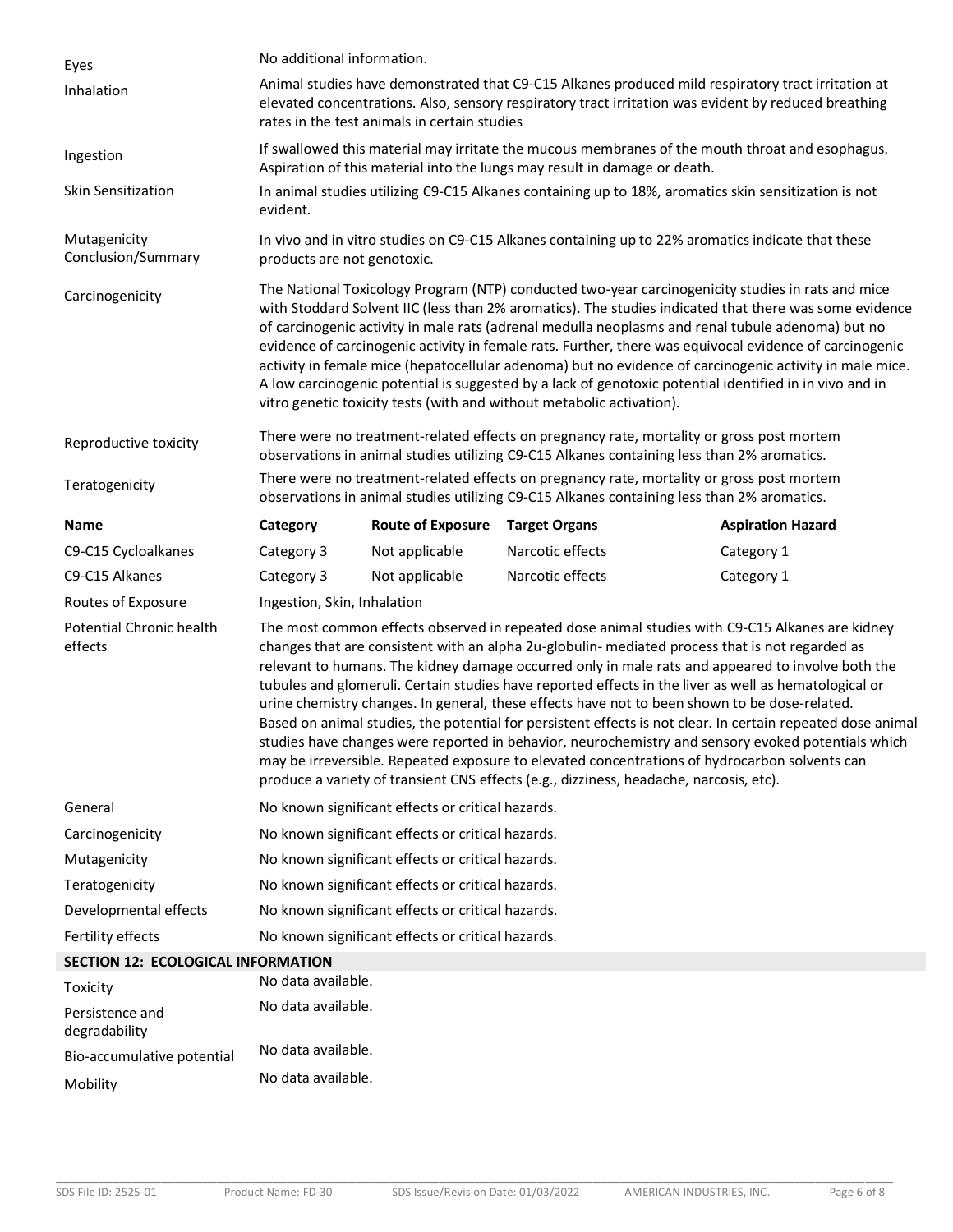| Eyes                                | No additional information.                                                                                                                                                                                                                                                                                                                                                                                                                                                                                                                                                                                                                                                                                                                                                                                                                                                                                                        |                          |                      |                          |  |
|-------------------------------------|-----------------------------------------------------------------------------------------------------------------------------------------------------------------------------------------------------------------------------------------------------------------------------------------------------------------------------------------------------------------------------------------------------------------------------------------------------------------------------------------------------------------------------------------------------------------------------------------------------------------------------------------------------------------------------------------------------------------------------------------------------------------------------------------------------------------------------------------------------------------------------------------------------------------------------------|--------------------------|----------------------|--------------------------|--|
| Inhalation                          | Animal studies have demonstrated that C9-C15 Alkanes produced mild respiratory tract irritation at<br>elevated concentrations. Also, sensory respiratory tract irritation was evident by reduced breathing<br>rates in the test animals in certain studies                                                                                                                                                                                                                                                                                                                                                                                                                                                                                                                                                                                                                                                                        |                          |                      |                          |  |
| Ingestion                           | If swallowed this material may irritate the mucous membranes of the mouth throat and esophagus.<br>Aspiration of this material into the lungs may result in damage or death.                                                                                                                                                                                                                                                                                                                                                                                                                                                                                                                                                                                                                                                                                                                                                      |                          |                      |                          |  |
| Skin Sensitization                  | In animal studies utilizing C9-C15 Alkanes containing up to 18%, aromatics skin sensitization is not<br>evident.                                                                                                                                                                                                                                                                                                                                                                                                                                                                                                                                                                                                                                                                                                                                                                                                                  |                          |                      |                          |  |
| Mutagenicity<br>Conclusion/Summary  | In vivo and in vitro studies on C9-C15 Alkanes containing up to 22% aromatics indicate that these<br>products are not genotoxic.                                                                                                                                                                                                                                                                                                                                                                                                                                                                                                                                                                                                                                                                                                                                                                                                  |                          |                      |                          |  |
| Carcinogenicity                     | The National Toxicology Program (NTP) conducted two-year carcinogenicity studies in rats and mice<br>with Stoddard Solvent IIC (less than 2% aromatics). The studies indicated that there was some evidence<br>of carcinogenic activity in male rats (adrenal medulla neoplasms and renal tubule adenoma) but no<br>evidence of carcinogenic activity in female rats. Further, there was equivocal evidence of carcinogenic<br>activity in female mice (hepatocellular adenoma) but no evidence of carcinogenic activity in male mice.<br>A low carcinogenic potential is suggested by a lack of genotoxic potential identified in in vivo and in<br>vitro genetic toxicity tests (with and without metabolic activation).                                                                                                                                                                                                        |                          |                      |                          |  |
| Reproductive toxicity               | There were no treatment-related effects on pregnancy rate, mortality or gross post mortem<br>observations in animal studies utilizing C9-C15 Alkanes containing less than 2% aromatics.                                                                                                                                                                                                                                                                                                                                                                                                                                                                                                                                                                                                                                                                                                                                           |                          |                      |                          |  |
| Teratogenicity                      | There were no treatment-related effects on pregnancy rate, mortality or gross post mortem<br>observations in animal studies utilizing C9-C15 Alkanes containing less than 2% aromatics.                                                                                                                                                                                                                                                                                                                                                                                                                                                                                                                                                                                                                                                                                                                                           |                          |                      |                          |  |
| <b>Name</b>                         | Category                                                                                                                                                                                                                                                                                                                                                                                                                                                                                                                                                                                                                                                                                                                                                                                                                                                                                                                          | <b>Route of Exposure</b> | <b>Target Organs</b> | <b>Aspiration Hazard</b> |  |
| C9-C15 Cycloalkanes                 | Category 3                                                                                                                                                                                                                                                                                                                                                                                                                                                                                                                                                                                                                                                                                                                                                                                                                                                                                                                        | Not applicable           | Narcotic effects     | Category 1               |  |
| C9-C15 Alkanes                      | Category 3                                                                                                                                                                                                                                                                                                                                                                                                                                                                                                                                                                                                                                                                                                                                                                                                                                                                                                                        | Not applicable           | Narcotic effects     | Category 1               |  |
| Routes of Exposure                  | Ingestion, Skin, Inhalation                                                                                                                                                                                                                                                                                                                                                                                                                                                                                                                                                                                                                                                                                                                                                                                                                                                                                                       |                          |                      |                          |  |
| Potential Chronic health<br>effects | The most common effects observed in repeated dose animal studies with C9-C15 Alkanes are kidney<br>changes that are consistent with an alpha 2u-globulin- mediated process that is not regarded as<br>relevant to humans. The kidney damage occurred only in male rats and appeared to involve both the<br>tubules and glomeruli. Certain studies have reported effects in the liver as well as hematological or<br>urine chemistry changes. In general, these effects have not to been shown to be dose-related.<br>Based on animal studies, the potential for persistent effects is not clear. In certain repeated dose animal<br>studies have changes were reported in behavior, neurochemistry and sensory evoked potentials which<br>may be irreversible. Repeated exposure to elevated concentrations of hydrocarbon solvents can<br>produce a variety of transient CNS effects (e.g., dizziness, headache, narcosis, etc). |                          |                      |                          |  |
| General                             | No known significant effects or critical hazards.                                                                                                                                                                                                                                                                                                                                                                                                                                                                                                                                                                                                                                                                                                                                                                                                                                                                                 |                          |                      |                          |  |
| Carcinogenicity                     | No known significant effects or critical hazards.                                                                                                                                                                                                                                                                                                                                                                                                                                                                                                                                                                                                                                                                                                                                                                                                                                                                                 |                          |                      |                          |  |
| Mutagenicity                        | No known significant effects or critical hazards.                                                                                                                                                                                                                                                                                                                                                                                                                                                                                                                                                                                                                                                                                                                                                                                                                                                                                 |                          |                      |                          |  |
| Teratogenicity                      | No known significant effects or critical hazards.                                                                                                                                                                                                                                                                                                                                                                                                                                                                                                                                                                                                                                                                                                                                                                                                                                                                                 |                          |                      |                          |  |
| Developmental effects               | No known significant effects or critical hazards.                                                                                                                                                                                                                                                                                                                                                                                                                                                                                                                                                                                                                                                                                                                                                                                                                                                                                 |                          |                      |                          |  |
| Fertility effects                   | No known significant effects or critical hazards.                                                                                                                                                                                                                                                                                                                                                                                                                                                                                                                                                                                                                                                                                                                                                                                                                                                                                 |                          |                      |                          |  |
| SECTION 12: ECOLOGICAL INFORMATION  |                                                                                                                                                                                                                                                                                                                                                                                                                                                                                                                                                                                                                                                                                                                                                                                                                                                                                                                                   |                          |                      |                          |  |
| Toxicity                            | No data available.                                                                                                                                                                                                                                                                                                                                                                                                                                                                                                                                                                                                                                                                                                                                                                                                                                                                                                                |                          |                      |                          |  |
| Persistence and<br>degradability    | No data available.                                                                                                                                                                                                                                                                                                                                                                                                                                                                                                                                                                                                                                                                                                                                                                                                                                                                                                                |                          |                      |                          |  |
| Bio-accumulative potential          | No data available.                                                                                                                                                                                                                                                                                                                                                                                                                                                                                                                                                                                                                                                                                                                                                                                                                                                                                                                |                          |                      |                          |  |
| Mobility                            | No data available.                                                                                                                                                                                                                                                                                                                                                                                                                                                                                                                                                                                                                                                                                                                                                                                                                                                                                                                |                          |                      |                          |  |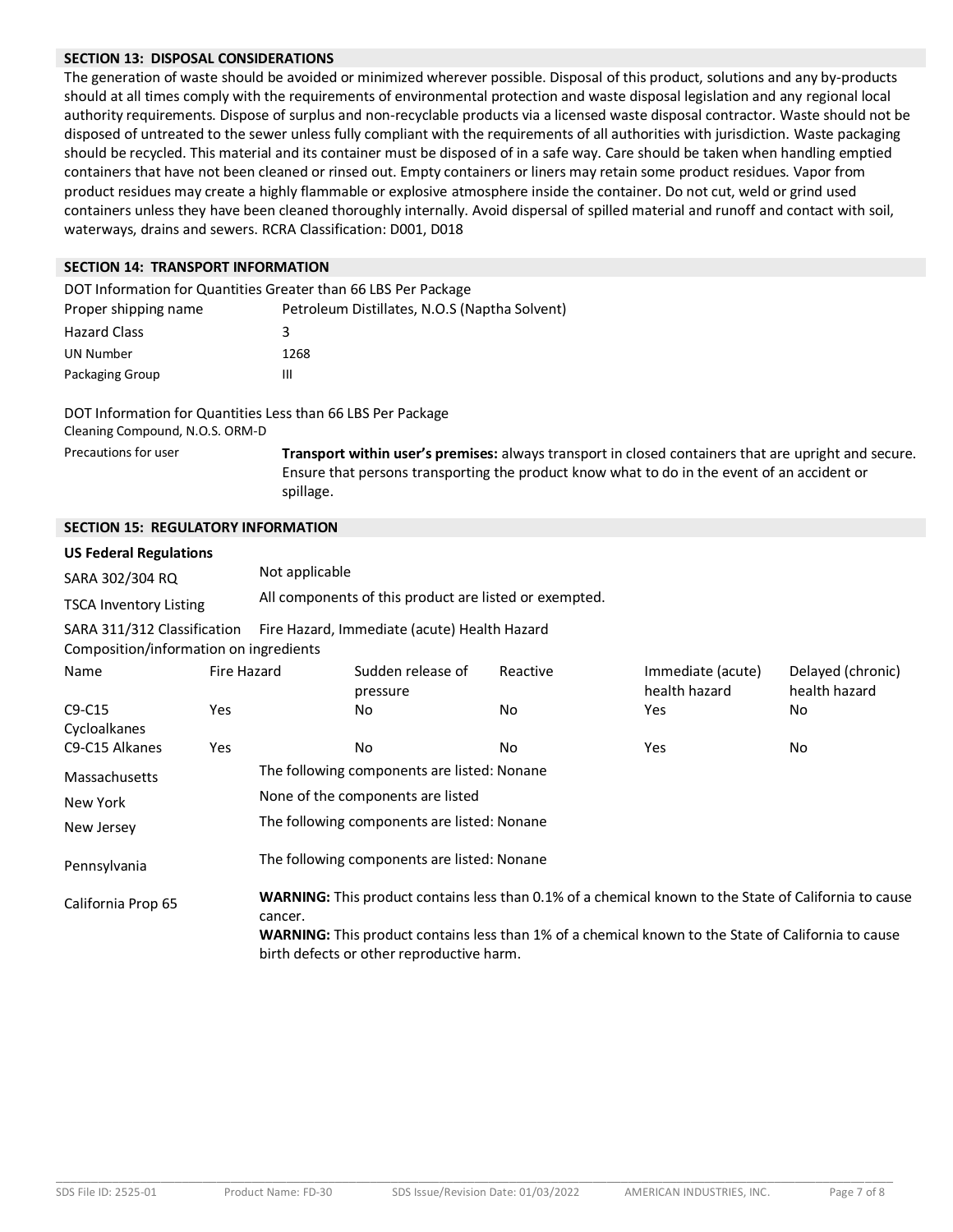#### **SECTION 13: DISPOSAL CONSIDERATIONS**

The generation of waste should be avoided or minimized wherever possible. Disposal of this product, solutions and any by-products should at all times comply with the requirements of environmental protection and waste disposal legislation and any regional local authority requirements. Dispose of surplus and non-recyclable products via a licensed waste disposal contractor. Waste should not be disposed of untreated to the sewer unless fully compliant with the requirements of all authorities with jurisdiction. Waste packaging should be recycled. This material and its container must be disposed of in a safe way. Care should be taken when handling emptied containers that have not been cleaned or rinsed out. Empty containers or liners may retain some product residues. Vapor from product residues may create a highly flammable or explosive atmosphere inside the container. Do not cut, weld or grind used containers unless they have been cleaned thoroughly internally. Avoid dispersal of spilled material and runoff and contact with soil, waterways, drains and sewers. RCRA Classification: D001, D018

#### **SECTION 14: TRANSPORT INFORMATION**

| DOT Information for Quantities Greater than 66 LBS Per Package |                                               |  |  |  |  |
|----------------------------------------------------------------|-----------------------------------------------|--|--|--|--|
| Proper shipping name                                           | Petroleum Distillates, N.O.S (Naptha Solvent) |  |  |  |  |
| <b>Hazard Class</b>                                            | 3                                             |  |  |  |  |
| UN Number                                                      | 1268                                          |  |  |  |  |
| Packaging Group                                                | Ш                                             |  |  |  |  |

DOT Information for Quantities Less than 66 LBS Per Package Cleaning Compound, N.O.S. ORM-D

Precautions for user **Transport within user's premises:** always transport in closed containers that are upright and secure. Ensure that persons transporting the product know what to do in the event of an accident or spillage.

#### **SECTION 15: REGULATORY INFORMATION**

#### **US Federal Regulations**

| SARA 302/304 RQ        | Not applicable                                         |
|------------------------|--------------------------------------------------------|
| TSCA Inventory Listing | All components of this product are listed or exempted. |

SARA 311/312 Classification Fire Hazard, Immediate (acute) Health Hazard

Composition/information on ingredients

| Name               | Fire Hazard |                                                                                                                                                  | Sudden release of<br>pressure               | Reactive | Immediate (acute)<br>health hazard | Delayed (chronic)<br>health hazard |  |
|--------------------|-------------|--------------------------------------------------------------------------------------------------------------------------------------------------|---------------------------------------------|----------|------------------------------------|------------------------------------|--|
| $C9-C15$           | Yes         |                                                                                                                                                  | No.                                         | No.      | Yes.                               | No                                 |  |
| Cycloalkanes       |             |                                                                                                                                                  |                                             |          |                                    |                                    |  |
| C9-C15 Alkanes     | Yes         |                                                                                                                                                  | No                                          | No       | Yes                                | No                                 |  |
| Massachusetts      |             |                                                                                                                                                  | The following components are listed: Nonane |          |                                    |                                    |  |
| New York           |             | None of the components are listed                                                                                                                |                                             |          |                                    |                                    |  |
| New Jersey         |             | The following components are listed: Nonane                                                                                                      |                                             |          |                                    |                                    |  |
| Pennsylvania       |             | The following components are listed: Nonane                                                                                                      |                                             |          |                                    |                                    |  |
| California Prop 65 |             | WARNING: This product contains less than 0.1% of a chemical known to the State of California to cause<br>cancer.                                 |                                             |          |                                    |                                    |  |
|                    |             | WARNING: This product contains less than 1% of a chemical known to the State of California to cause<br>birth defects or other reproductive harm. |                                             |          |                                    |                                    |  |